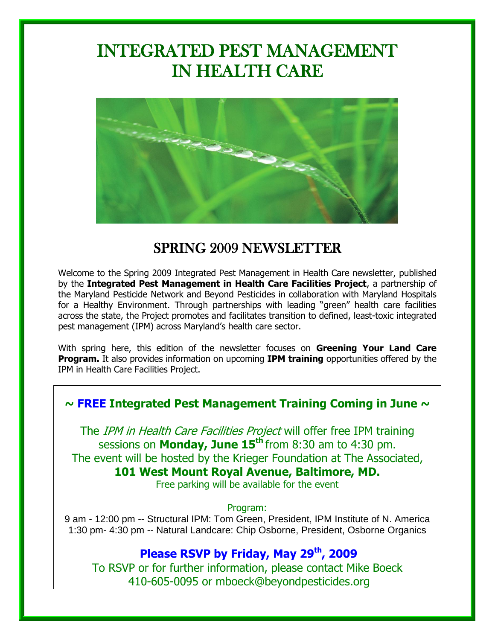# INTEGRATED PEST MANAGEMENT IN HEALTH CARE



# SPRING 2009 NEWSLETTER

Welcome to the Spring 2009 Integrated Pest Management in Health Care newsletter, published by the **Integrated Pest Management in Health Care Facilities Project**, a partnership of the Maryland Pesticide Network and Beyond Pesticides in collaboration with Maryland Hospitals for a Healthy Environment. Through partnerships with leading "green" health care facilities across the state, the Project promotes and facilitates transition to defined, least-toxic integrated pest management (IPM) across Maryland"s health care sector.

With spring here, this edition of the newsletter focuses on **Greening Your Land Care Program.** It also provides information on upcoming **IPM training** opportunities offered by the IPM in Health Care Facilities Project.

### **~ FREE Integrated Pest Management Training Coming in June ~**

The IPM in Health Care Facilities Project will offer free IPM training sessions on **Monday, June 15th** from 8:30 am to 4:30 pm. The event will be hosted by the Krieger Foundation at The Associated, **101 West Mount Royal Avenue, Baltimore, MD.**

Free parking will be available for the event

#### Program:

9 am - 12:00 pm -- Structural IPM: Tom Green, President, IPM Institute of N. America 1:30 pm- 4:30 pm -- Natural Landcare: Chip Osborne, President, Osborne Organics

## **Please RSVP by Friday, May 29th, 2009**

To RSVP or for further information, please contact Mike Boeck 410-605-0095 or mboeck@beyondpesticides.org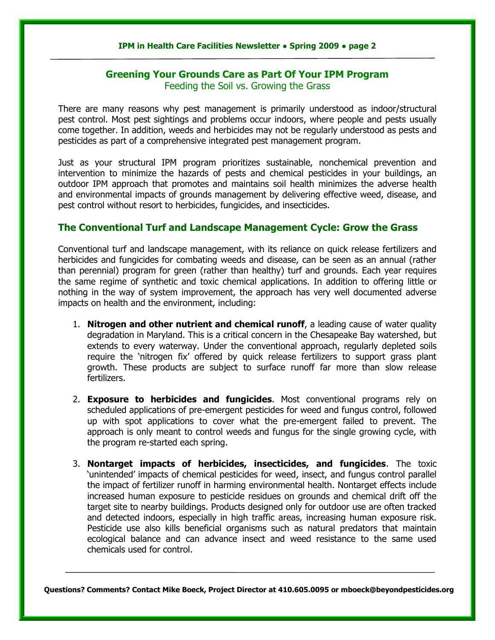#### **IPM in Health Care Facilities Newsletter ● Spring 2009 ● page 2**

#### **Greening Your Grounds Care as Part Of Your IPM Program** Feeding the Soil vs. Growing the Grass

There are many reasons why pest management is primarily understood as indoor/structural pest control. Most pest sightings and problems occur indoors, where people and pests usually come together. In addition, weeds and herbicides may not be regularly understood as pests and pesticides as part of a comprehensive integrated pest management program.

Just as your structural IPM program prioritizes sustainable, nonchemical prevention and intervention to minimize the hazards of pests and chemical pesticides in your buildings, an outdoor IPM approach that promotes and maintains soil health minimizes the adverse health and environmental impacts of grounds management by delivering effective weed, disease, and pest control without resort to herbicides, fungicides, and insecticides.

#### **The Conventional Turf and Landscape Management Cycle: Grow the Grass**

Conventional turf and landscape management, with its reliance on quick release fertilizers and herbicides and fungicides for combating weeds and disease, can be seen as an annual (rather than perennial) program for green (rather than healthy) turf and grounds. Each year requires the same regime of synthetic and toxic chemical applications. In addition to offering little or nothing in the way of system improvement, the approach has very well documented adverse impacts on health and the environment, including:

- 1. **Nitrogen and other nutrient and chemical runoff**, a leading cause of water quality degradation in Maryland. This is a critical concern in the Chesapeake Bay watershed, but extends to every waterway. Under the conventional approach, regularly depleted soils require the "nitrogen fix" offered by quick release fertilizers to support grass plant growth. These products are subject to surface runoff far more than slow release fertilizers.
- 2. **Exposure to herbicides and fungicides**. Most conventional programs rely on scheduled applications of pre-emergent pesticides for weed and fungus control, followed up with spot applications to cover what the pre-emergent failed to prevent. The approach is only meant to control weeds and fungus for the single growing cycle, with the program re-started each spring.
- 3. **Nontarget impacts of herbicides, insecticides, and fungicides**. The toxic "unintended" impacts of chemical pesticides for weed, insect, and fungus control parallel the impact of fertilizer runoff in harming environmental health. Nontarget effects include increased human exposure to pesticide residues on grounds and chemical drift off the target site to nearby buildings. Products designed only for outdoor use are often tracked and detected indoors, especially in high traffic areas, increasing human exposure risk. Pesticide use also kills beneficial organisms such as natural predators that maintain ecological balance and can advance insect and weed resistance to the same used chemicals used for control.

**Questions? Comments? Contact Mike Boeck, Project Director at 410.605.0095 or [mboeck@beyondpesticides.org](mailto:mboeck@beyondpesticides.org)**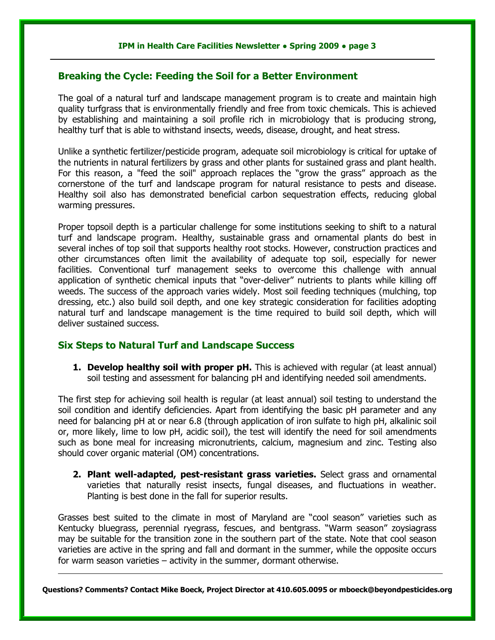#### **Breaking the Cycle: Feeding the Soil for a Better Environment**

The goal of a natural turf and landscape management program is to create and maintain high quality turfgrass that is environmentally friendly and free from toxic chemicals. This is achieved by establishing and maintaining a soil profile rich in microbiology that is producing strong, healthy turf that is able to withstand insects, weeds, disease, drought, and heat stress.

Unlike a synthetic fertilizer/pesticide program, adequate soil microbiology is critical for uptake of the nutrients in natural fertilizers by grass and other plants for sustained grass and plant health. For this reason, a "feed the soil" approach replaces the "grow the grass" approach as the cornerstone of the turf and landscape program for natural resistance to pests and disease. Healthy soil also has demonstrated beneficial carbon sequestration effects, reducing global warming pressures.

Proper topsoil depth is a particular challenge for some institutions seeking to shift to a natural turf and landscape program. Healthy, sustainable grass and ornamental plants do best in several inches of top soil that supports healthy root stocks. However, construction practices and other circumstances often limit the availability of adequate top soil, especially for newer facilities. Conventional turf management seeks to overcome this challenge with annual application of synthetic chemical inputs that "over-deliver" nutrients to plants while killing off weeds. The success of the approach varies widely. Most soil feeding techniques (mulching, top dressing, etc.) also build soil depth, and one key strategic consideration for facilities adopting natural turf and landscape management is the time required to build soil depth, which will deliver sustained success.

#### **Six Steps to Natural Turf and Landscape Success**

**1. Develop healthy soil with proper pH.** This is achieved with regular (at least annual) soil testing and assessment for balancing pH and identifying needed soil amendments.

The first step for achieving soil health is regular (at least annual) soil testing to understand the soil condition and identify deficiencies. Apart from identifying the basic pH parameter and any need for balancing pH at or near 6.8 (through application of iron sulfate to high pH, alkalinic soil or, more likely, lime to low pH, acidic soil), the test will identify the need for soil amendments such as bone meal for increasing micronutrients, calcium, magnesium and zinc. Testing also should cover organic material (OM) concentrations.

**2. Plant well-adapted, pest-resistant grass varieties.** Select grass and ornamental varieties that naturally resist insects, fungal diseases, and fluctuations in weather. Planting is best done in the fall for superior results.

Grasses best suited to the climate in most of Maryland are "cool season" varieties such as Kentucky bluegrass, perennial ryegrass, fescues, and bentgrass. "Warm season" zoysiagrass may be suitable for the transition zone in the southern part of the state. Note that cool season varieties are active in the spring and fall and dormant in the summer, while the opposite occurs for warm season varieties – activity in the summer, dormant otherwise.

**Questions? Comments? Contact Mike Boeck, Project Director at 410.605.0095 o[r mboeck@beyondpesticides.org](mailto:mboeck@beyondpesticides.or)**